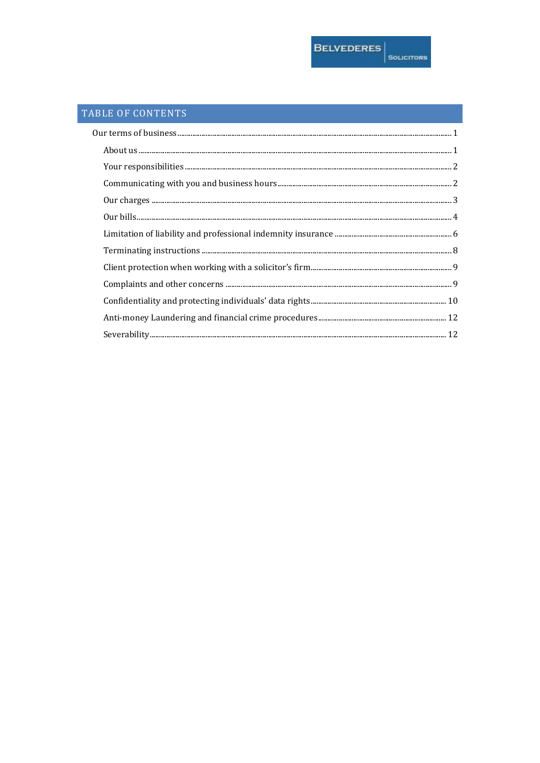# TABLE OF CONTENTS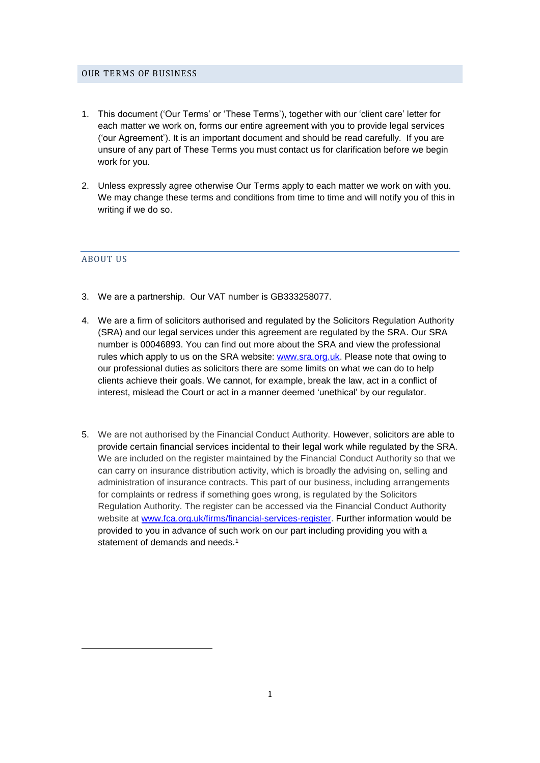#### <span id="page-1-0"></span>OUR TERMS OF BUSINESS

- 1. This document ('Our Terms' or 'These Terms'), together with our 'client care' letter for each matter we work on, forms our entire agreement with you to provide legal services ('our Agreement'). It is an important document and should be read carefully. If you are unsure of any part of These Terms you must contact us for clarification before we begin work for you.
- 2. Unless expressly agree otherwise Our Terms apply to each matter we work on with you. We may change these terms and conditions from time to time and will notify you of this in writing if we do so.

#### <span id="page-1-1"></span>ABOUT US

 $\overline{a}$ 

- 3. We are a partnership. Our VAT number is GB333258077.
- 4. We are a firm of solicitors authorised and regulated by the Solicitors Regulation Authority (SRA) and our legal services under this agreement are regulated by the SRA. Our SRA number is 00046893. You can find out more about the SRA and view the professional rules which apply to us on the SRA website: [www.sra.org.uk.](http://www.sra.org.uk/) Please note that owing to our professional duties as solicitors there are some limits on what we can do to help clients achieve their goals. We cannot, for example, break the law, act in a conflict of interest, mislead the Court or act in a manner deemed 'unethical' by our regulator.
- 5. We are not authorised by the Financial Conduct Authority. However, solicitors are able to provide certain financial services incidental to their legal work while regulated by the SRA. We are included on the register maintained by the Financial Conduct Authority so that we can carry on insurance distribution activity, which is broadly the advising on, selling and administration of insurance contracts. This part of our business, including arrangements for complaints or redress if something goes wrong, is regulated by the Solicitors Regulation Authority. The register can be accessed via the Financial Conduct Authority website at [www.fca.org.uk/firms/financial-services-register.](http://www.fca.org.uk/firms/financial-services-register) Further information would be provided to you in advance of such work on our part including providing you with a statement of demands and needs.<sup>1</sup>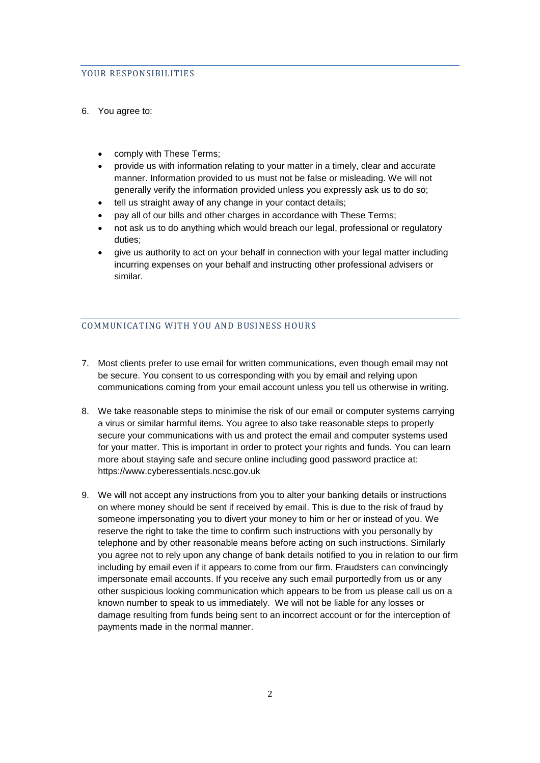## <span id="page-2-0"></span>YOUR RESPONSIBILITIES

## 6. You agree to:

- comply with These Terms;
- provide us with information relating to your matter in a timely, clear and accurate manner. Information provided to us must not be false or misleading. We will not generally verify the information provided unless you expressly ask us to do so;
- tell us straight away of any change in your contact details;
- pay all of our bills and other charges in accordance with These Terms;
- not ask us to do anything which would breach our legal, professional or regulatory duties;
- give us authority to act on your behalf in connection with your legal matter including incurring expenses on your behalf and instructing other professional advisers or similar.

## <span id="page-2-1"></span>COMMUNICATING WITH YOU AND BUSINESS HOURS

- 7. Most clients prefer to use email for written communications, even though email may not be secure. You consent to us corresponding with you by email and relying upon communications coming from your email account unless you tell us otherwise in writing.
- 8. We take reasonable steps to minimise the risk of our email or computer systems carrying a virus or similar harmful items. You agree to also take reasonable steps to properly secure your communications with us and protect the email and computer systems used for your matter. This is important in order to protect your rights and funds. You can learn more about staying safe and secure online including good password practice at: https://www.cyberessentials.ncsc.gov.uk
- 9. We will not accept any instructions from you to alter your banking details or instructions on where money should be sent if received by email. This is due to the risk of fraud by someone impersonating you to divert your money to him or her or instead of you. We reserve the right to take the time to confirm such instructions with you personally by telephone and by other reasonable means before acting on such instructions. Similarly you agree not to rely upon any change of bank details notified to you in relation to our firm including by email even if it appears to come from our firm. Fraudsters can convincingly impersonate email accounts. If you receive any such email purportedly from us or any other suspicious looking communication which appears to be from us please call us on a known number to speak to us immediately. We will not be liable for any losses or damage resulting from funds being sent to an incorrect account or for the interception of payments made in the normal manner.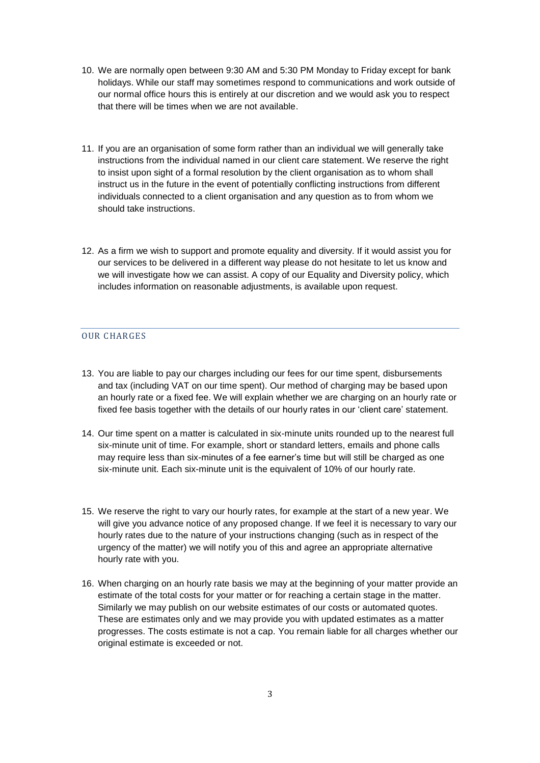- 10. We are normally open between 9:30 AM and 5:30 PM Monday to Friday except for bank holidays. While our staff may sometimes respond to communications and work outside of our normal office hours this is entirely at our discretion and we would ask you to respect that there will be times when we are not available.
- 11. If you are an organisation of some form rather than an individual we will generally take instructions from the individual named in our client care statement. We reserve the right to insist upon sight of a formal resolution by the client organisation as to whom shall instruct us in the future in the event of potentially conflicting instructions from different individuals connected to a client organisation and any question as to from whom we should take instructions.
- 12. As a firm we wish to support and promote equality and diversity. If it would assist you for our services to be delivered in a different way please do not hesitate to let us know and we will investigate how we can assist. A copy of our Equality and Diversity policy, which includes information on reasonable adjustments, is available upon request.

## <span id="page-3-0"></span>OUR CHARGES

- 13. You are liable to pay our charges including our fees for our time spent, disbursements and tax (including VAT on our time spent). Our method of charging may be based upon an hourly rate or a fixed fee. We will explain whether we are charging on an hourly rate or fixed fee basis together with the details of our hourly rates in our 'client care' statement.
- 14. Our time spent on a matter is calculated in six-minute units rounded up to the nearest full six-minute unit of time. For example, short or standard letters, emails and phone calls may require less than six-minutes of a fee earner's time but will still be charged as one six-minute unit. Each six-minute unit is the equivalent of 10% of our hourly rate.
- 15. We reserve the right to vary our hourly rates, for example at the start of a new year. We will give you advance notice of any proposed change. If we feel it is necessary to vary our hourly rates due to the nature of your instructions changing (such as in respect of the urgency of the matter) we will notify you of this and agree an appropriate alternative hourly rate with you.
- 16. When charging on an hourly rate basis we may at the beginning of your matter provide an estimate of the total costs for your matter or for reaching a certain stage in the matter. Similarly we may publish on our website estimates of our costs or automated quotes. These are estimates only and we may provide you with updated estimates as a matter progresses. The costs estimate is not a cap. You remain liable for all charges whether our original estimate is exceeded or not.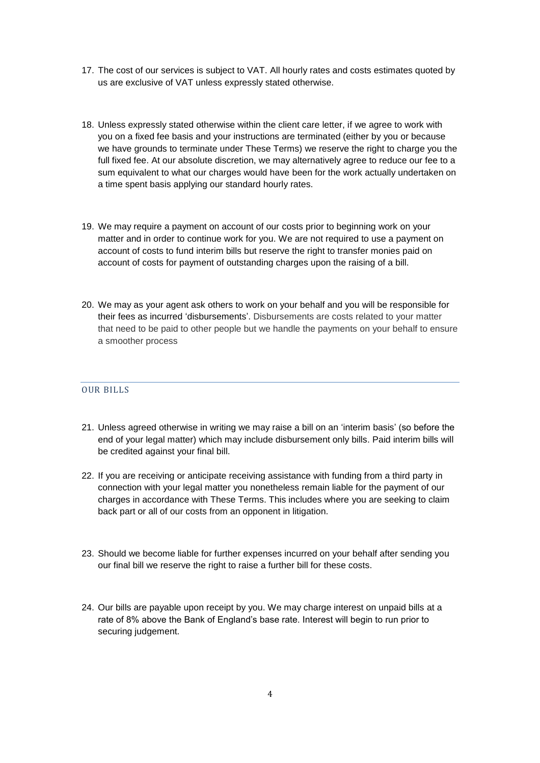- 17. The cost of our services is subject to VAT. All hourly rates and costs estimates quoted by us are exclusive of VAT unless expressly stated otherwise.
- 18. Unless expressly stated otherwise within the client care letter, if we agree to work with you on a fixed fee basis and your instructions are terminated (either by you or because we have grounds to terminate under These Terms) we reserve the right to charge you the full fixed fee. At our absolute discretion, we may alternatively agree to reduce our fee to a sum equivalent to what our charges would have been for the work actually undertaken on a time spent basis applying our standard hourly rates.
- 19. We may require a payment on account of our costs prior to beginning work on your matter and in order to continue work for you. We are not required to use a payment on account of costs to fund interim bills but reserve the right to transfer monies paid on account of costs for payment of outstanding charges upon the raising of a bill.
- 20. We may as your agent ask others to work on your behalf and you will be responsible for their fees as incurred 'disbursements'. Disbursements are costs related to your matter that need to be paid to other people but we handle the payments on your behalf to ensure a smoother process

## <span id="page-4-0"></span>OUR BILLS

- 21. Unless agreed otherwise in writing we may raise a bill on an 'interim basis' (so before the end of your legal matter) which may include disbursement only bills. Paid interim bills will be credited against your final bill.
- 22. If you are receiving or anticipate receiving assistance with funding from a third party in connection with your legal matter you nonetheless remain liable for the payment of our charges in accordance with These Terms. This includes where you are seeking to claim back part or all of our costs from an opponent in litigation.
- 23. Should we become liable for further expenses incurred on your behalf after sending you our final bill we reserve the right to raise a further bill for these costs.
- 24. Our bills are payable upon receipt by you. We may charge interest on unpaid bills at a rate of 8% above the Bank of England's base rate. Interest will begin to run prior to securing judgement.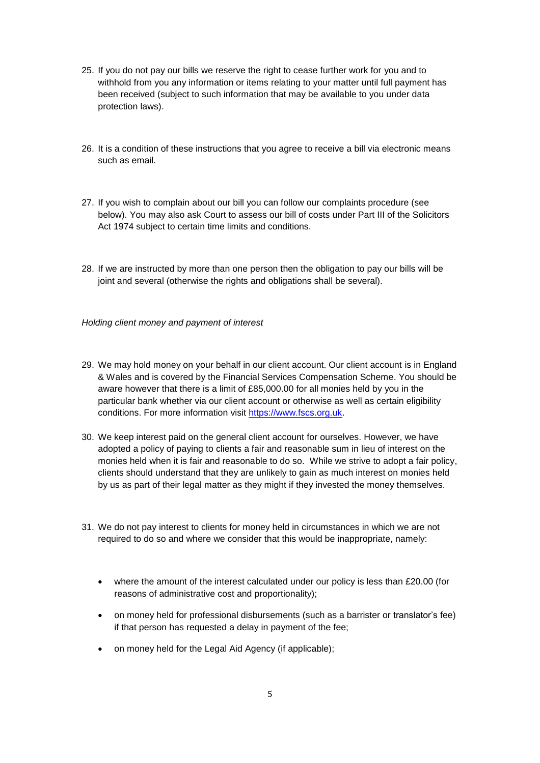- 25. If you do not pay our bills we reserve the right to cease further work for you and to withhold from you any information or items relating to your matter until full payment has been received (subject to such information that may be available to you under data protection laws).
- 26. It is a condition of these instructions that you agree to receive a bill via electronic means such as email.
- 27. If you wish to complain about our bill you can follow our complaints procedure (see below). You may also ask Court to assess our bill of costs under Part III of the Solicitors Act 1974 subject to certain time limits and conditions.
- 28. If we are instructed by more than one person then the obligation to pay our bills will be joint and several (otherwise the rights and obligations shall be several).

*Holding client money and payment of interest*

- 29. We may hold money on your behalf in our client account. Our client account is in England & Wales and is covered by the Financial Services Compensation Scheme. You should be aware however that there is a limit of £85,000.00 for all monies held by you in the particular bank whether via our client account or otherwise as well as certain eligibility conditions. For more information visit [https://www.fscs.org.uk.](https://www.fscs.org.uk/)
- 30. We keep interest paid on the general client account for ourselves. However, we have adopted a policy of paying to clients a fair and reasonable sum in lieu of interest on the monies held when it is fair and reasonable to do so. While we strive to adopt a fair policy, clients should understand that they are unlikely to gain as much interest on monies held by us as part of their legal matter as they might if they invested the money themselves.
- 31. We do not pay interest to clients for money held in circumstances in which we are not required to do so and where we consider that this would be inappropriate, namely:
	- where the amount of the interest calculated under our policy is less than £20.00 (for reasons of administrative cost and proportionality);
	- on money held for professional disbursements (such as a barrister or translator's fee) if that person has requested a delay in payment of the fee;
	- on money held for the Legal Aid Agency (if applicable);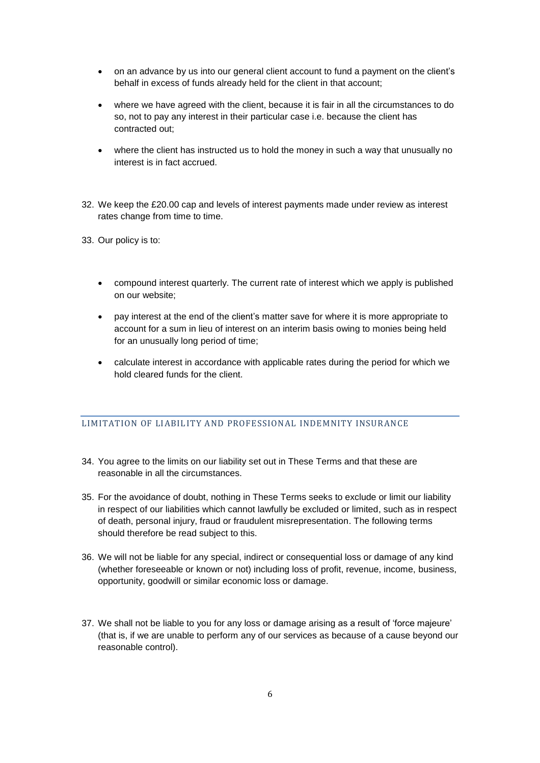- on an advance by us into our general client account to fund a payment on the client's behalf in excess of funds already held for the client in that account;
- where we have agreed with the client, because it is fair in all the circumstances to do so, not to pay any interest in their particular case i.e. because the client has contracted out;
- where the client has instructed us to hold the money in such a way that unusually no interest is in fact accrued.
- 32. We keep the £20.00 cap and levels of interest payments made under review as interest rates change from time to time.
- 33. Our policy is to:
	- compound interest quarterly. The current rate of interest which we apply is published on our website;
	- pay interest at the end of the client's matter save for where it is more appropriate to account for a sum in lieu of interest on an interim basis owing to monies being held for an unusually long period of time;
	- calculate interest in accordance with applicable rates during the period for which we hold cleared funds for the client.

# <span id="page-6-0"></span>LIMITATION OF LIABILITY AND PROFESSIONAL INDEMNITY INSURANCE

- 34. You agree to the limits on our liability set out in These Terms and that these are reasonable in all the circumstances.
- 35. For the avoidance of doubt, nothing in These Terms seeks to exclude or limit our liability in respect of our liabilities which cannot lawfully be excluded or limited, such as in respect of death, personal injury, fraud or fraudulent misrepresentation. The following terms should therefore be read subject to this.
- 36. We will not be liable for any special, indirect or consequential loss or damage of any kind (whether foreseeable or known or not) including loss of profit, revenue, income, business, opportunity, goodwill or similar economic loss or damage.
- 37. We shall not be liable to you for any loss or damage arising as a result of 'force majeure' (that is, if we are unable to perform any of our services as because of a cause beyond our reasonable control).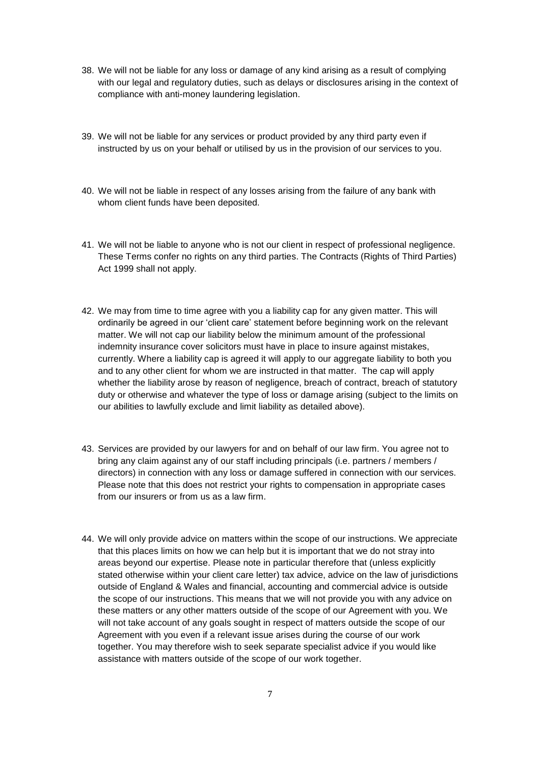- 38. We will not be liable for any loss or damage of any kind arising as a result of complying with our legal and regulatory duties, such as delays or disclosures arising in the context of compliance with anti-money laundering legislation.
- 39. We will not be liable for any services or product provided by any third party even if instructed by us on your behalf or utilised by us in the provision of our services to you.
- 40. We will not be liable in respect of any losses arising from the failure of any bank with whom client funds have been deposited.
- 41. We will not be liable to anyone who is not our client in respect of professional negligence. These Terms confer no rights on any third parties. The Contracts (Rights of Third Parties) Act 1999 shall not apply.
- 42. We may from time to time agree with you a liability cap for any given matter. This will ordinarily be agreed in our 'client care' statement before beginning work on the relevant matter. We will not cap our liability below the minimum amount of the professional indemnity insurance cover solicitors must have in place to insure against mistakes, currently. Where a liability cap is agreed it will apply to our aggregate liability to both you and to any other client for whom we are instructed in that matter. The cap will apply whether the liability arose by reason of negligence, breach of contract, breach of statutory duty or otherwise and whatever the type of loss or damage arising (subject to the limits on our abilities to lawfully exclude and limit liability as detailed above).
- 43. Services are provided by our lawyers for and on behalf of our law firm. You agree not to bring any claim against any of our staff including principals (i.e. partners / members / directors) in connection with any loss or damage suffered in connection with our services. Please note that this does not restrict your rights to compensation in appropriate cases from our insurers or from us as a law firm.
- 44. We will only provide advice on matters within the scope of our instructions. We appreciate that this places limits on how we can help but it is important that we do not stray into areas beyond our expertise. Please note in particular therefore that (unless explicitly stated otherwise within your client care letter) tax advice, advice on the law of jurisdictions outside of England & Wales and financial, accounting and commercial advice is outside the scope of our instructions. This means that we will not provide you with any advice on these matters or any other matters outside of the scope of our Agreement with you. We will not take account of any goals sought in respect of matters outside the scope of our Agreement with you even if a relevant issue arises during the course of our work together. You may therefore wish to seek separate specialist advice if you would like assistance with matters outside of the scope of our work together.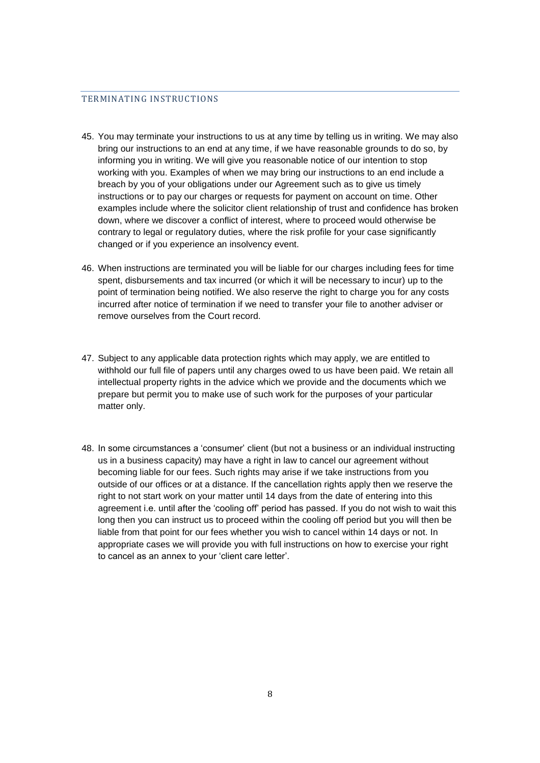## <span id="page-8-0"></span>TERMINATING INSTRUCTIONS

- 45. You may terminate your instructions to us at any time by telling us in writing. We may also bring our instructions to an end at any time, if we have reasonable grounds to do so, by informing you in writing. We will give you reasonable notice of our intention to stop working with you. Examples of when we may bring our instructions to an end include a breach by you of your obligations under our Agreement such as to give us timely instructions or to pay our charges or requests for payment on account on time. Other examples include where the solicitor client relationship of trust and confidence has broken down, where we discover a conflict of interest, where to proceed would otherwise be contrary to legal or regulatory duties, where the risk profile for your case significantly changed or if you experience an insolvency event.
- 46. When instructions are terminated you will be liable for our charges including fees for time spent, disbursements and tax incurred (or which it will be necessary to incur) up to the point of termination being notified. We also reserve the right to charge you for any costs incurred after notice of termination if we need to transfer your file to another adviser or remove ourselves from the Court record.
- 47. Subject to any applicable data protection rights which may apply, we are entitled to withhold our full file of papers until any charges owed to us have been paid. We retain all intellectual property rights in the advice which we provide and the documents which we prepare but permit you to make use of such work for the purposes of your particular matter only.
- <span id="page-8-1"></span>48. In some circumstances a 'consumer' client (but not a business or an individual instructing us in a business capacity) may have a right in law to cancel our agreement without becoming liable for our fees. Such rights may arise if we take instructions from you outside of our offices or at a distance. If the cancellation rights apply then we reserve the right to not start work on your matter until 14 days from the date of entering into this agreement i.e. until after the 'cooling off' period has passed. If you do not wish to wait this long then you can instruct us to proceed within the cooling off period but you will then be liable from that point for our fees whether you wish to cancel within 14 days or not. In appropriate cases we will provide you with full instructions on how to exercise your right to cancel as an annex to your 'client care letter'.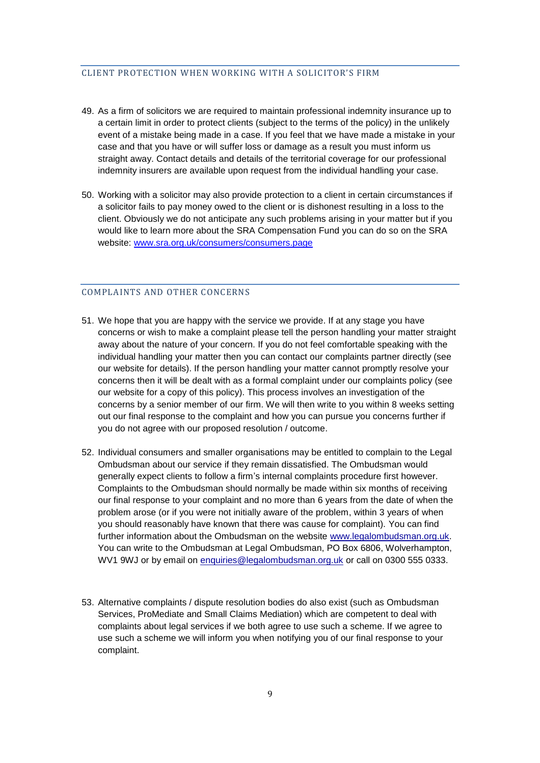#### CLIENT PROTECTION WHEN WORKING WITH A SOLICITOR'S FIRM

- 49. As a firm of solicitors we are required to maintain professional indemnity insurance up to a certain limit in order to protect clients (subject to the terms of the policy) in the unlikely event of a mistake being made in a case. If you feel that we have made a mistake in your case and that you have or will suffer loss or damage as a result you must inform us straight away. Contact details and details of the territorial coverage for our professional indemnity insurers are available upon request from the individual handling your case.
- 50. Working with a solicitor may also provide protection to a client in certain circumstances if a solicitor fails to pay money owed to the client or is dishonest resulting in a loss to the client. Obviously we do not anticipate any such problems arising in your matter but if you would like to learn more about the SRA Compensation Fund you can do so on the SRA website: [www.sra.org.uk/consumers/consumers.page](http://www.sra.org.uk/consumers/consumers.page)

## <span id="page-9-0"></span>COMPLAINTS AND OTHER CONCERNS

- 51. We hope that you are happy with the service we provide. If at any stage you have concerns or wish to make a complaint please tell the person handling your matter straight away about the nature of your concern. If you do not feel comfortable speaking with the individual handling your matter then you can contact our complaints partner directly (see our website for details). If the person handling your matter cannot promptly resolve your concerns then it will be dealt with as a formal complaint under our complaints policy (see our website for a copy of this policy). This process involves an investigation of the concerns by a senior member of our firm. We will then write to you within 8 weeks setting out our final response to the complaint and how you can pursue you concerns further if you do not agree with our proposed resolution / outcome.
- 52. Individual consumers and smaller organisations may be entitled to complain to the Legal Ombudsman about our service if they remain dissatisfied. The Ombudsman would generally expect clients to follow a firm's internal complaints procedure first however. Complaints to the Ombudsman should normally be made within six months of receiving our final response to your complaint and no more than 6 years from the date of when the problem arose (or if you were not initially aware of the problem, within 3 years of when you should reasonably have known that there was cause for complaint). You can find further information about the Ombudsman on the website [www.legalombudsman.org.uk.](http://www.legalombudsman.org.uk/) You can write to the Ombudsman at Legal Ombudsman, PO Box 6806, Wolverhampton, WV1 9WJ or by email on [enquiries@legalombudsman.org.uk](mailto:enquiries@legalombudsman.org.uk) or call on 0300 555 0333.
- 53. Alternative complaints / dispute resolution bodies do also exist (such as Ombudsman Services, ProMediate and Small Claims Mediation) which are competent to deal with complaints about legal services if we both agree to use such a scheme. If we agree to use such a scheme we will inform you when notifying you of our final response to your complaint.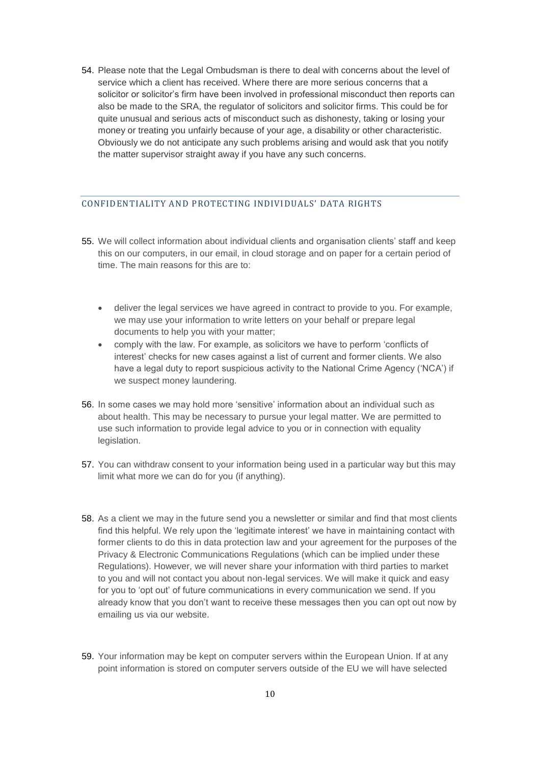54. Please note that the Legal Ombudsman is there to deal with concerns about the level of service which a client has received. Where there are more serious concerns that a solicitor or solicitor's firm have been involved in professional misconduct then reports can also be made to the SRA, the regulator of solicitors and solicitor firms. This could be for quite unusual and serious acts of misconduct such as dishonesty, taking or losing your money or treating you unfairly because of your age, a disability or other characteristic. Obviously we do not anticipate any such problems arising and would ask that you notify the matter supervisor straight away if you have any such concerns.

# <span id="page-10-0"></span>CONFIDENTIALITY AND PROTECTING INDIVIDUALS' DATA RIGHTS

- 55. We will collect information about individual clients and organisation clients' staff and keep this on our computers, in our email, in cloud storage and on paper for a certain period of time. The main reasons for this are to:
	- deliver the legal services we have agreed in contract to provide to you. For example, we may use your information to write letters on your behalf or prepare legal documents to help you with your matter;
	- comply with the law. For example, as solicitors we have to perform 'conflicts of interest' checks for new cases against a list of current and former clients. We also have a legal duty to report suspicious activity to the National Crime Agency ('NCA') if we suspect money laundering.
- 56. In some cases we may hold more 'sensitive' information about an individual such as about health. This may be necessary to pursue your legal matter. We are permitted to use such information to provide legal advice to you or in connection with equality legislation.
- 57. You can withdraw consent to your information being used in a particular way but this may limit what more we can do for you (if anything).
- 58. As a client we may in the future send you a newsletter or similar and find that most clients find this helpful. We rely upon the 'legitimate interest' we have in maintaining contact with former clients to do this in data protection law and your agreement for the purposes of the Privacy & Electronic Communications Regulations (which can be implied under these Regulations). However, we will never share your information with third parties to market to you and will not contact you about non-legal services. We will make it quick and easy for you to 'opt out' of future communications in every communication we send. If you already know that you don't want to receive these messages then you can opt out now by emailing us via our website.
- 59. Your information may be kept on computer servers within the European Union. If at any point information is stored on computer servers outside of the EU we will have selected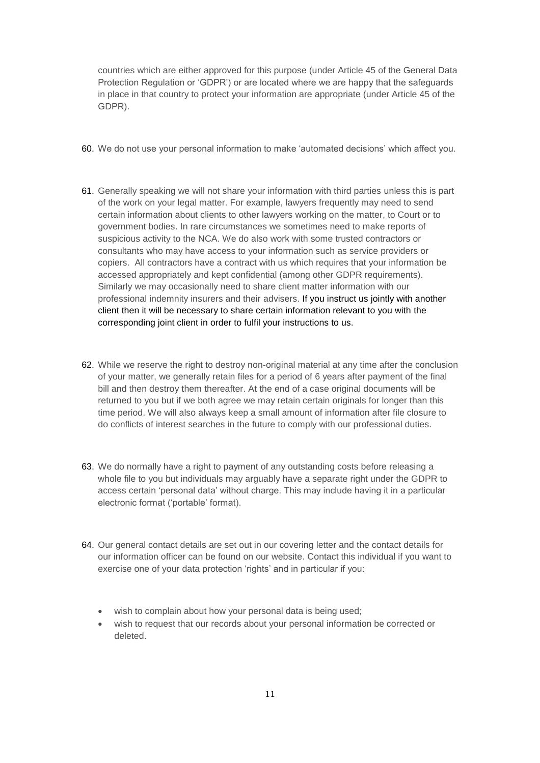countries which are either approved for this purpose (under Article 45 of the General Data Protection Regulation or 'GDPR') or are located where we are happy that the safeguards in place in that country to protect your information are appropriate (under Article 45 of the GDPR).

- 60. We do not use your personal information to make 'automated decisions' which affect you.
- 61. Generally speaking we will not share your information with third parties unless this is part of the work on your legal matter. For example, lawyers frequently may need to send certain information about clients to other lawyers working on the matter, to Court or to government bodies. In rare circumstances we sometimes need to make reports of suspicious activity to the NCA. We do also work with some trusted contractors or consultants who may have access to your information such as service providers or copiers. All contractors have a contract with us which requires that your information be accessed appropriately and kept confidential (among other GDPR requirements). Similarly we may occasionally need to share client matter information with our professional indemnity insurers and their advisers. If you instruct us jointly with another client then it will be necessary to share certain information relevant to you with the corresponding joint client in order to fulfil your instructions to us.
- 62. While we reserve the right to destroy non-original material at any time after the conclusion of your matter, we generally retain files for a period of 6 years after payment of the final bill and then destroy them thereafter. At the end of a case original documents will be returned to you but if we both agree we may retain certain originals for longer than this time period. We will also always keep a small amount of information after file closure to do conflicts of interest searches in the future to comply with our professional duties.
- 63. We do normally have a right to payment of any outstanding costs before releasing a whole file to you but individuals may arguably have a separate right under the GDPR to access certain 'personal data' without charge. This may include having it in a particular electronic format ('portable' format).
- 64. Our general contact details are set out in our covering letter and the contact details for our information officer can be found on our website. Contact this individual if you want to exercise one of your data protection 'rights' and in particular if you:
	- wish to complain about how your personal data is being used;
	- wish to request that our records about your personal information be corrected or deleted.